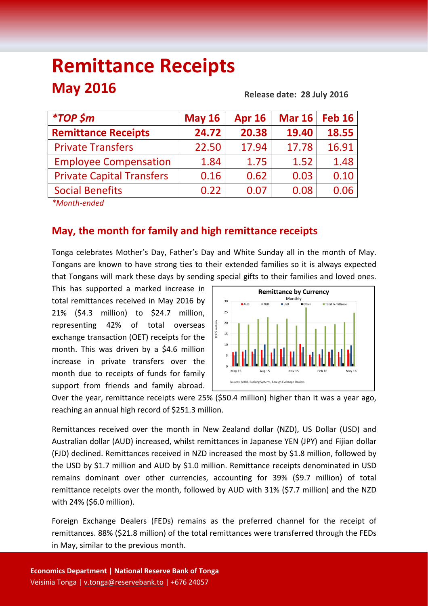# **Remittance Receipts May 2016**

**Release date: 28 July 2016**

| <i><b>*TOP \$m</b></i>                              | <b>May 16</b> | <b>Apr 16</b> | <b>Mar 16</b> | <b>Feb 16</b> |
|-----------------------------------------------------|---------------|---------------|---------------|---------------|
| <b>Remittance Receipts</b>                          | 24.72         | 20.38         | 19.40         | 18.55         |
| <b>Private Transfers</b>                            | 22.50         | 17.94         | 17.78         | 16.91         |
| <b>Employee Compensation</b>                        | 1.84          | 1.75          | 1.52          | 1.48          |
| <b>Private Capital Transfers</b>                    | 0.16          | 0.62          | 0.03          | 0.10          |
| <b>Social Benefits</b>                              | 0.22          | 0.07          | 0.08          | 0.06          |
| $\frac{1}{2}$ . The set of the set of $\frac{1}{2}$ |               |               |               |               |

*\*Month‐ended*

# **May, the month for family and high remittance receipts**

Tonga celebrates Mother's Day, Father's Day and White Sunday all in the month of May. Tongans are known to have strong ties to their extended families so it is always expected that Tongans will mark these days by sending special gifts to their families and loved ones.

This has supported a marked increase in total remittances received in May 2016 by 21% (\$4.3 million) to \$24.7 million, representing 42% of total overseas exchange transaction (OET) receipts for the month. This was driven by a \$4.6 million increase in private transfers over the month due to receipts of funds for family support from friends and family abroad.



Over the year, remittance receipts were 25% (\$50.4 million) higher than it was a year ago, reaching an annual high record of \$251.3 million.

Remittances received over the month in New Zealand dollar (NZD), US Dollar (USD) and Australian dollar (AUD) increased, whilst remittances in Japanese YEN (JPY) and Fijian dollar (FJD) declined. Remittances received in NZD increased the most by \$1.8 million, followed by the USD by \$1.7 million and AUD by \$1.0 million. Remittance receipts denominated in USD remains dominant over other currencies, accounting for 39% (\$9.7 million) of total remittance receipts over the month, followed by AUD with 31% (\$7.7 million) and the NZD with 24% (\$6.0 million).

Foreign Exchange Dealers (FEDs) remains as the preferred channel for the receipt of remittances. 88% (\$21.8 million) of the total remittances were transferred through the FEDs in May, similar to the previous month.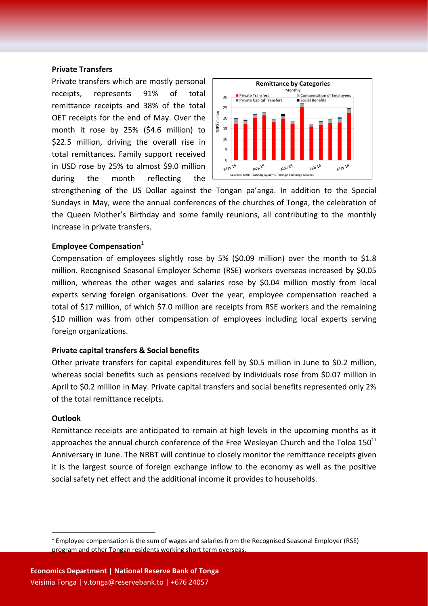#### **Private Transfers**

Private transfers which are mostly personal receipts, represents 91% of total remittance receipts and 38% of the total OET receipts for the end of May. Over the month it rose by 25% (\$4.6 million) to \$22.5 million, driving the overall rise in total remittances. Family support received in USD rose by 25% to almost \$9.0 million during the month reflecting the



strengthening of the US Dollar against the Tongan pa'anga. In addition to the Special Sundays in May, were the annual conferences of the churches of Tonga, the celebration of the Queen Mother's Birthday and some family reunions, all contributing to the monthly increase in private transfers.

#### **Employee Compensation**<sup>1</sup>

Compensation of employees slightly rose by 5% (\$0.09 million) over the month to \$1.8 million. Recognised Seasonal Employer Scheme (RSE) workers overseas increased by \$0.05 million, whereas the other wages and salaries rose by \$0.04 million mostly from local experts serving foreign organisations. Over the year, employee compensation reached a total of \$17 million, of which \$7.0 million are receipts from RSE workers and the remaining \$10 million was from other compensation of employees including local experts serving foreign organizations.

#### **Private capital transfers & Social benefits**

Other private transfers for capital expenditures fell by \$0.5 million in June to \$0.2 million, whereas social benefits such as pensions received by individuals rose from \$0.07 million in April to \$0.2 million in May. Private capital transfers and social benefits represented only 2% of the total remittance receipts.

#### **Outlook**

Remittance receipts are anticipated to remain at high levels in the upcoming months as it approaches the annual church conference of the Free Wesleyan Church and the Toloa  $150<sup>th</sup>$ Anniversary in June. The NRBT will continue to closely monitor the remittance receipts given it is the largest source of foreign exchange inflow to the economy as well as the positive social safety net effect and the additional income it provides to households.

 $1$  Employee compensation is the sum of wages and salaries from the Recognised Seasonal Employer (RSE) program and other Tongan residents working short term overseas.